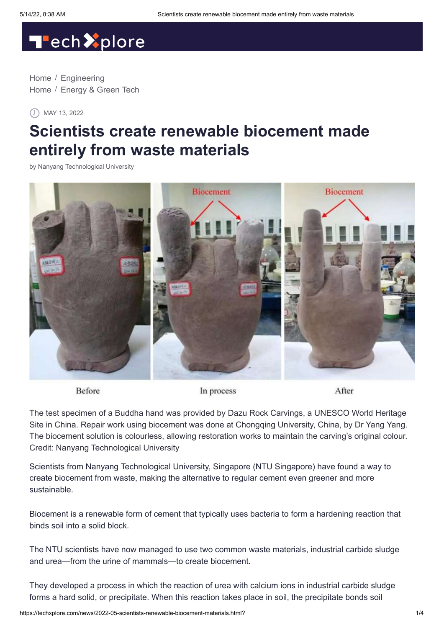# Tech<sup>2</sup>plore

[Home](https://techxplore.com/) / [Engineering](https://techxplore.com/engineering-news/) [Home](https://techxplore.com/) / [Energy & Green Tech](https://techxplore.com/energy-green-tech-news/)

MAY 13, 2022

# **Scientists create renewable biocement made entirely from waste materials**

by [Nanyang Technological University](http://www.ntu.edu.sg/Pages/default.aspx)



Before

In process

After

The test specimen of a Buddha hand was provided by Dazu Rock Carvings, a UNESCO World Heritage Site in China. Repair work using biocement was done at Chongqing University, China, by Dr Yang Yang. The biocement solution is colourless, allowing restoration works to maintain the carving's original colour. Credit: Nanyang Technological University

Scientists from Nanyang Technological University, Singapore (NTU Singapore) have found a way to create biocement from waste, making the alternative to regular cement even greener and more sustainable.

Biocement is a renewable form of cement that typically uses bacteria to form a hardening reaction that binds soil into a solid block.

The NTU scientists have now managed to use two common waste materials, industrial carbide sludge and urea—from the urine of mammals—to create biocement.

They developed a process in which the reaction of urea with calcium ions in industrial carbide sludge forms a hard solid, or precipitate. When this reaction takes place in soil, the precipitate bonds soil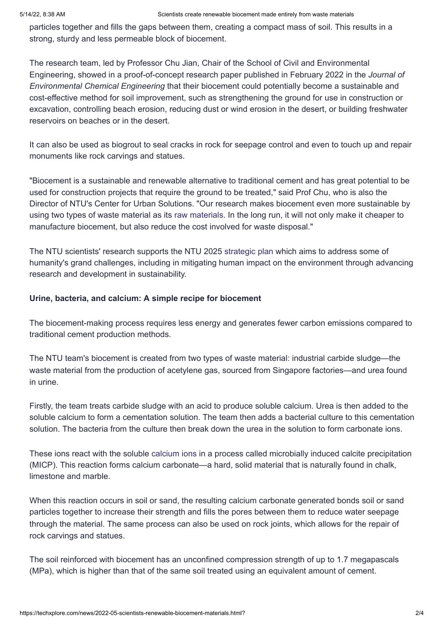particles together and fills the gaps between them, creating a compact mass of soil. This results in a strong, sturdy and less permeable block of biocement.

The research team, led by Professor Chu Jian, Chair of the School of Civil and Environmental Engineering, showed in a proof-of-concept research paper published in February 2022 in the *Journal of Environmental Chemical Engineering* that their biocement could potentially become a sustainable and cost-effective method for soil improvement, such as strengthening the ground for use in construction or excavation, controlling beach erosion, reducing dust or wind erosion in the desert, or building freshwater reservoirs on beaches or in the desert.

It can also be used as biogrout to seal cracks in rock for seepage control and even to touch up and repair monuments like rock carvings and statues.

"Biocement is a sustainable and renewable alternative to traditional cement and has great potential to be used for construction projects that require the ground to be treated," said Prof Chu, who is also the Director of NTU's Center for Urban Solutions. "Our research makes biocement even more sustainable by using two types of waste material as its [raw materials](https://techxplore.com/tags/raw+materials/). In the long run, it will not only make it cheaper to manufacture biocement, but also reduce the cost involved for waste disposal."

The NTU scientists' research supports the NTU 2025 [strategic plan](https://techxplore.com/tags/strategic+plan/) which aims to address some of humanity's grand challenges, including in mitigating human impact on the environment through advancing research and development in sustainability.

#### **Urine, bacteria, and calcium: A simple recipe for biocement**

The biocement-making process requires less energy and generates fewer carbon emissions compared to traditional cement production methods.

The NTU team's biocement is created from two types of waste material: industrial carbide sludge—the waste material from the production of acetylene gas, sourced from Singapore factories—and urea found in urine.

Firstly, the team treats carbide sludge with an acid to produce soluble calcium. Urea is then added to the soluble calcium to form a cementation solution. The team then adds a bacterial culture to this cementation solution. The bacteria from the culture then break down the urea in the solution to form carbonate ions.

These ions react with the soluble [calcium ions](https://techxplore.com/tags/calcium+ions/) in a process called microbially induced calcite precipitation (MICP). This reaction forms calcium carbonate—a hard, solid material that is naturally found in chalk, limestone and marble.

When this reaction occurs in soil or sand, the resulting calcium carbonate generated bonds soil or sand particles together to increase their strength and fills the pores between them to reduce water seepage through the material. The same process can also be used on rock joints, which allows for the repair of rock carvings and statues.

The soil reinforced with biocement has an unconfined compression strength of up to 1.7 megapascals (MPa), which is higher than that of the same soil treated using an equivalent amount of cement.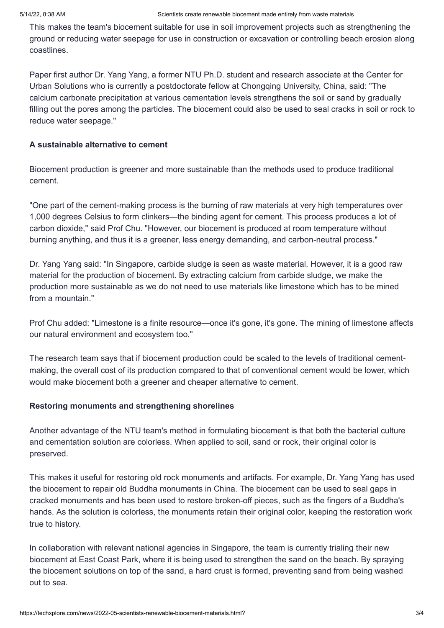This makes the team's biocement suitable for use in soil improvement projects such as strengthening the ground or reducing water seepage for use in construction or excavation or controlling beach erosion along coastlines.

Paper first author Dr. Yang Yang, a former NTU Ph.D. student and research associate at the Center for Urban Solutions who is currently a postdoctorate fellow at Chongqing University, China, said: "The calcium carbonate precipitation at various cementation levels strengthens the soil or sand by gradually filling out the pores among the particles. The biocement could also be used to seal cracks in soil or rock to reduce water seepage."

### **A sustainable alternative to cement**

Biocement production is greener and more sustainable than the methods used to produce traditional cement.

"One part of the cement-making process is the burning of raw materials at very high temperatures over 1,000 degrees Celsius to form clinkers—the binding agent for cement. This process produces a lot of carbon dioxide," said Prof Chu. "However, our biocement is produced at room temperature without burning anything, and thus it is a greener, less energy demanding, and carbon-neutral process."

Dr. Yang Yang said: "In Singapore, carbide sludge is seen as waste material. However, it is a good raw material for the production of biocement. By extracting calcium from carbide sludge, we make the production more sustainable as we do not need to use materials like limestone which has to be mined from a mountain."

Prof Chu added: "Limestone is a finite resource—once it's gone, it's gone. The mining of limestone affects our natural environment and ecosystem too."

The research team says that if biocement production could be scaled to the levels of traditional cementmaking, the overall cost of its production compared to that of conventional cement would be lower, which would make biocement both a greener and cheaper alternative to cement.

## **Restoring monuments and strengthening shorelines**

Another advantage of the NTU team's method in formulating biocement is that both the bacterial culture and cementation solution are colorless. When applied to soil, sand or rock, their original color is preserved.

This makes it useful for restoring old rock monuments and artifacts. For example, Dr. Yang Yang has used the biocement to repair old Buddha monuments in China. The biocement can be used to seal gaps in cracked monuments and has been used to restore broken-off pieces, such as the fingers of a Buddha's hands. As the solution is colorless, the monuments retain their original color, keeping the restoration work true to history.

In collaboration with relevant national agencies in Singapore, the team is currently trialing their new biocement at East Coast Park, where it is being used to strengthen the sand on the beach. By spraying the biocement solutions on top of the sand, a hard crust is formed, preventing sand from being washed out to sea.